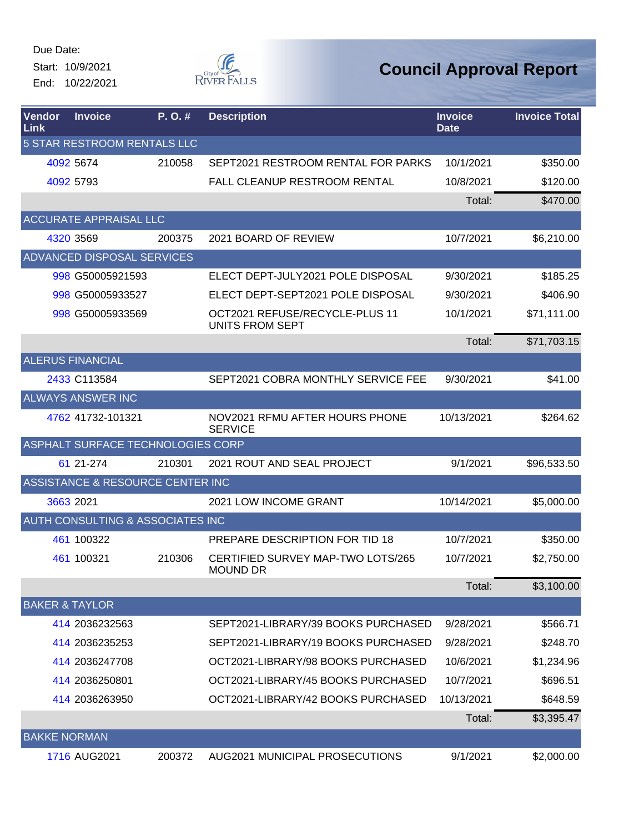Start: 10/9/2021 End: 10/22/2021



| <b>Vendor</b><br>Link | <b>Invoice</b>                    | P.O.#  | <b>Description</b>                                       | <b>Invoice</b><br><b>Date</b> | <b>Invoice Total</b> |
|-----------------------|-----------------------------------|--------|----------------------------------------------------------|-------------------------------|----------------------|
|                       | 5 STAR RESTROOM RENTALS LLC       |        |                                                          |                               |                      |
|                       | 4092 5674                         | 210058 | SEPT2021 RESTROOM RENTAL FOR PARKS                       | 10/1/2021                     | \$350.00             |
|                       | 4092 5793                         |        | <b>FALL CLEANUP RESTROOM RENTAL</b>                      | 10/8/2021                     | \$120.00             |
|                       |                                   |        |                                                          | Total:                        | \$470.00             |
|                       | <b>ACCURATE APPRAISAL LLC</b>     |        |                                                          |                               |                      |
|                       | 4320 3569                         | 200375 | 2021 BOARD OF REVIEW                                     | 10/7/2021                     | \$6,210.00           |
|                       | ADVANCED DISPOSAL SERVICES        |        |                                                          |                               |                      |
|                       | 998 G50005921593                  |        | ELECT DEPT-JULY2021 POLE DISPOSAL                        | 9/30/2021                     | \$185.25             |
|                       | 998 G50005933527                  |        | ELECT DEPT-SEPT2021 POLE DISPOSAL                        | 9/30/2021                     | \$406.90             |
|                       | 998 G50005933569                  |        | OCT2021 REFUSE/RECYCLE-PLUS 11<br><b>UNITS FROM SEPT</b> | 10/1/2021                     | \$71,111.00          |
|                       |                                   |        |                                                          | Total:                        | \$71,703.15          |
|                       | <b>ALERUS FINANCIAL</b>           |        |                                                          |                               |                      |
|                       | 2433 C113584                      |        | SEPT2021 COBRA MONTHLY SERVICE FEE                       | 9/30/2021                     | \$41.00              |
|                       | <b>ALWAYS ANSWER INC</b>          |        |                                                          |                               |                      |
|                       | 4762 41732-101321                 |        | NOV2021 RFMU AFTER HOURS PHONE<br><b>SERVICE</b>         | 10/13/2021                    | \$264.62             |
|                       | ASPHALT SURFACE TECHNOLOGIES CORP |        |                                                          |                               |                      |
|                       | 61 21-274                         | 210301 | 2021 ROUT AND SEAL PROJECT                               | 9/1/2021                      | \$96,533.50          |
|                       | ASSISTANCE & RESOURCE CENTER INC  |        |                                                          |                               |                      |
|                       | 3663 2021                         |        | 2021 LOW INCOME GRANT                                    | 10/14/2021                    | \$5,000.00           |
|                       | AUTH CONSULTING & ASSOCIATES INC  |        |                                                          |                               |                      |
|                       | 461 100322                        |        | PREPARE DESCRIPTION FOR TID 18                           | 10/7/2021                     | \$350.00             |
|                       | 461 100321                        | 210306 | CERTIFIED SURVEY MAP-TWO LOTS/265<br><b>MOUND DR</b>     | 10/7/2021                     | \$2,750.00           |
|                       |                                   |        |                                                          | Total:                        | \$3,100.00           |
|                       | <b>BAKER &amp; TAYLOR</b>         |        |                                                          |                               |                      |
|                       | 414 2036232563                    |        | SEPT2021-LIBRARY/39 BOOKS PURCHASED                      | 9/28/2021                     | \$566.71             |
|                       | 414 2036235253                    |        | SEPT2021-LIBRARY/19 BOOKS PURCHASED                      | 9/28/2021                     | \$248.70             |
|                       | 414 2036247708                    |        | OCT2021-LIBRARY/98 BOOKS PURCHASED                       | 10/6/2021                     | \$1,234.96           |
|                       | 414 2036250801                    |        | OCT2021-LIBRARY/45 BOOKS PURCHASED                       | 10/7/2021                     | \$696.51             |
|                       | 414 2036263950                    |        | OCT2021-LIBRARY/42 BOOKS PURCHASED                       | 10/13/2021                    | \$648.59             |
|                       |                                   |        |                                                          | Total:                        | \$3,395.47           |
| <b>BAKKE NORMAN</b>   |                                   |        |                                                          |                               |                      |
|                       | 1716 AUG2021                      | 200372 | <b>AUG2021 MUNICIPAL PROSECUTIONS</b>                    | 9/1/2021                      | \$2,000.00           |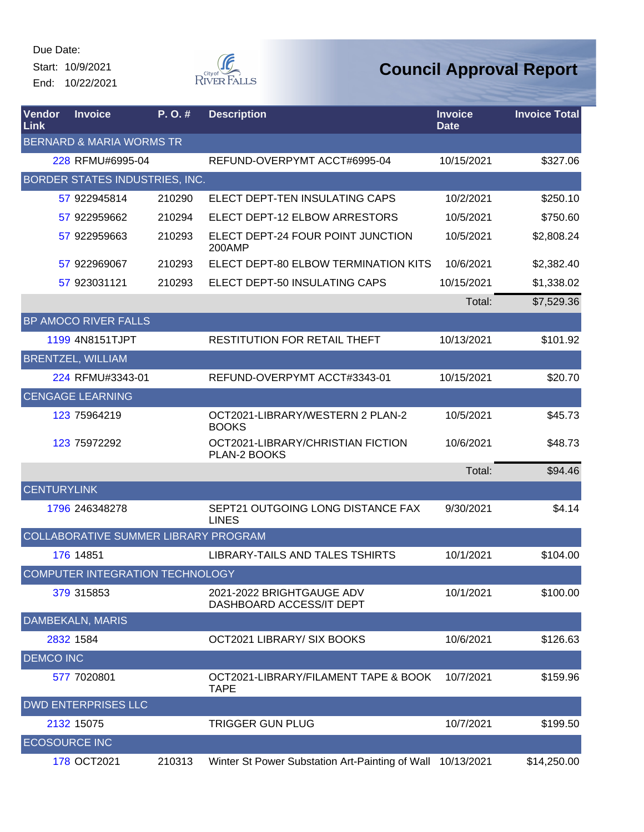Start: 10/9/2021 End: 10/22/2021



| Vendor<br>Link       | <b>Invoice</b>                        | P. O. # | <b>Description</b>                                         | <b>Invoice</b><br><b>Date</b> | <b>Invoice Total</b> |
|----------------------|---------------------------------------|---------|------------------------------------------------------------|-------------------------------|----------------------|
|                      | <b>BERNARD &amp; MARIA WORMS TR</b>   |         |                                                            |                               |                      |
|                      | 228 RFMU#6995-04                      |         | REFUND-OVERPYMT ACCT#6995-04                               | 10/15/2021                    | \$327.06             |
|                      | <b>BORDER STATES INDUSTRIES, INC.</b> |         |                                                            |                               |                      |
|                      | 57 922945814                          | 210290  | ELECT DEPT-TEN INSULATING CAPS                             | 10/2/2021                     | \$250.10             |
|                      | 57 922959662                          | 210294  | ELECT DEPT-12 ELBOW ARRESTORS                              | 10/5/2021                     | \$750.60             |
|                      | 57 922959663                          | 210293  | ELECT DEPT-24 FOUR POINT JUNCTION<br>200AMP                | 10/5/2021                     | \$2,808.24           |
|                      | 57 922969067                          | 210293  | ELECT DEPT-80 ELBOW TERMINATION KITS                       | 10/6/2021                     | \$2,382.40           |
|                      | 57 923031121                          | 210293  | ELECT DEPT-50 INSULATING CAPS                              | 10/15/2021                    | \$1,338.02           |
|                      |                                       |         |                                                            | Total:                        | \$7,529.36           |
|                      | <b>BP AMOCO RIVER FALLS</b>           |         |                                                            |                               |                      |
|                      | 1199 4N8151TJPT                       |         | <b>RESTITUTION FOR RETAIL THEFT</b>                        | 10/13/2021                    | \$101.92             |
|                      | <b>BRENTZEL, WILLIAM</b>              |         |                                                            |                               |                      |
|                      | 224 RFMU#3343-01                      |         | REFUND-OVERPYMT ACCT#3343-01                               | 10/15/2021                    | \$20.70              |
|                      | <b>CENGAGE LEARNING</b>               |         |                                                            |                               |                      |
|                      | 123 75964219                          |         | OCT2021-LIBRARY/WESTERN 2 PLAN-2<br><b>BOOKS</b>           | 10/5/2021                     | \$45.73              |
|                      | 123 75972292                          |         | OCT2021-LIBRARY/CHRISTIAN FICTION<br>PLAN-2 BOOKS          | 10/6/2021                     | \$48.73              |
|                      |                                       |         |                                                            | Total:                        | \$94.46              |
| <b>CENTURYLINK</b>   |                                       |         |                                                            |                               |                      |
|                      | 1796 246348278                        |         | SEPT21 OUTGOING LONG DISTANCE FAX<br><b>LINES</b>          | 9/30/2021                     | \$4.14               |
|                      | COLLABORATIVE SUMMER LIBRARY PROGRAM  |         |                                                            |                               |                      |
|                      | 176 14851                             |         | LIBRARY-TAILS AND TALES TSHIRTS                            | 10/1/2021                     | \$104.00             |
|                      | COMPUTER INTEGRATION TECHNOLOGY       |         |                                                            |                               |                      |
|                      | 379 315853                            |         | 2021-2022 BRIGHTGAUGE ADV<br>DASHBOARD ACCESS/IT DEPT      | 10/1/2021                     | \$100.00             |
|                      | <b>DAMBEKALN, MARIS</b>               |         |                                                            |                               |                      |
|                      | 2832 1584                             |         | OCT2021 LIBRARY/ SIX BOOKS                                 | 10/6/2021                     | \$126.63             |
| <b>DEMCO INC</b>     |                                       |         |                                                            |                               |                      |
|                      | 577 7020801                           |         | OCT2021-LIBRARY/FILAMENT TAPE & BOOK<br><b>TAPE</b>        | 10/7/2021                     | \$159.96             |
|                      | <b>DWD ENTERPRISES LLC</b>            |         |                                                            |                               |                      |
|                      | 2132 15075                            |         | <b>TRIGGER GUN PLUG</b>                                    | 10/7/2021                     | \$199.50             |
| <b>ECOSOURCE INC</b> |                                       |         |                                                            |                               |                      |
|                      | 178 OCT2021                           | 210313  | Winter St Power Substation Art-Painting of Wall 10/13/2021 |                               | \$14,250.00          |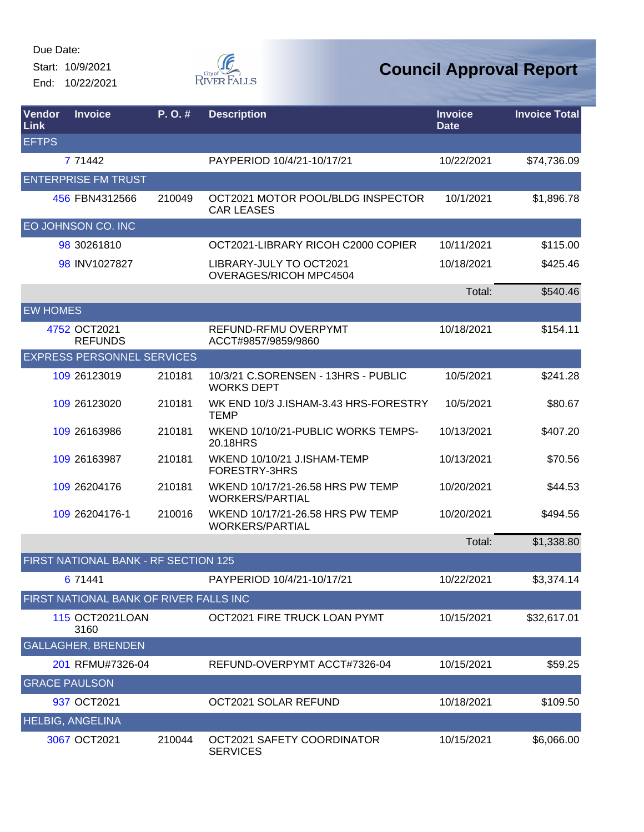Start: 10/9/2021 End: 10/22/2021



| Vendor<br>Link       | <b>Invoice</b>                         | P.O.#  | <b>Description</b>                                         | <b>Invoice</b><br><b>Date</b> | <b>Invoice Total</b> |
|----------------------|----------------------------------------|--------|------------------------------------------------------------|-------------------------------|----------------------|
| <b>EFTPS</b>         |                                        |        |                                                            |                               |                      |
|                      | 7 71442                                |        | PAYPERIOD 10/4/21-10/17/21                                 | 10/22/2021                    | \$74,736.09          |
|                      | <b>ENTERPRISE FM TRUST</b>             |        |                                                            |                               |                      |
|                      | 456 FBN4312566                         | 210049 | OCT2021 MOTOR POOL/BLDG INSPECTOR<br><b>CAR LEASES</b>     | 10/1/2021                     | \$1,896.78           |
|                      | EO JOHNSON CO. INC                     |        |                                                            |                               |                      |
|                      | 98 30261810                            |        | OCT2021-LIBRARY RICOH C2000 COPIER                         | 10/11/2021                    | \$115.00             |
|                      | 98 INV1027827                          |        | LIBRARY-JULY TO OCT2021<br><b>OVERAGES/RICOH MPC4504</b>   | 10/18/2021                    | \$425.46             |
|                      |                                        |        |                                                            | Total:                        | \$540.46             |
| <b>EW HOMES</b>      |                                        |        |                                                            |                               |                      |
|                      | 4752 OCT2021<br><b>REFUNDS</b>         |        | REFUND-RFMU OVERPYMT<br>ACCT#9857/9859/9860                | 10/18/2021                    | \$154.11             |
|                      | <b>EXPRESS PERSONNEL SERVICES</b>      |        |                                                            |                               |                      |
|                      | 109 26123019                           | 210181 | 10/3/21 C.SORENSEN - 13HRS - PUBLIC<br><b>WORKS DEPT</b>   | 10/5/2021                     | \$241.28             |
|                      | 109 26123020                           | 210181 | WK END 10/3 J.ISHAM-3.43 HRS-FORESTRY<br><b>TEMP</b>       | 10/5/2021                     | \$80.67              |
|                      | 109 26163986                           | 210181 | WKEND 10/10/21-PUBLIC WORKS TEMPS-<br>20.18HRS             | 10/13/2021                    | \$407.20             |
|                      | 109 26163987                           | 210181 | WKEND 10/10/21 J.ISHAM-TEMP<br>FORESTRY-3HRS               | 10/13/2021                    | \$70.56              |
|                      | 109 26204176                           | 210181 | WKEND 10/17/21-26.58 HRS PW TEMP<br><b>WORKERS/PARTIAL</b> | 10/20/2021                    | \$44.53              |
|                      | 109 26204176-1                         | 210016 | WKEND 10/17/21-26.58 HRS PW TEMP<br><b>WORKERS/PARTIAL</b> | 10/20/2021                    | \$494.56             |
|                      |                                        |        |                                                            | Total:                        | \$1,338.80           |
|                      | FIRST NATIONAL BANK - RF SECTION 125   |        |                                                            |                               |                      |
|                      | 6 71441                                |        | PAYPERIOD 10/4/21-10/17/21                                 | 10/22/2021                    | \$3,374.14           |
|                      | FIRST NATIONAL BANK OF RIVER FALLS INC |        |                                                            |                               |                      |
|                      | 115 OCT2021LOAN<br>3160                |        | OCT2021 FIRE TRUCK LOAN PYMT                               | 10/15/2021                    | \$32,617.01          |
|                      | <b>GALLAGHER, BRENDEN</b>              |        |                                                            |                               |                      |
|                      | 201 RFMU#7326-04                       |        | REFUND-OVERPYMT ACCT#7326-04                               | 10/15/2021                    | \$59.25              |
| <b>GRACE PAULSON</b> |                                        |        |                                                            |                               |                      |
|                      | 937 OCT2021                            |        | OCT2021 SOLAR REFUND                                       | 10/18/2021                    | \$109.50             |
|                      | <b>HELBIG, ANGELINA</b>                |        |                                                            |                               |                      |
|                      | 3067 OCT2021                           | 210044 | OCT2021 SAFETY COORDINATOR<br><b>SERVICES</b>              | 10/15/2021                    | \$6,066.00           |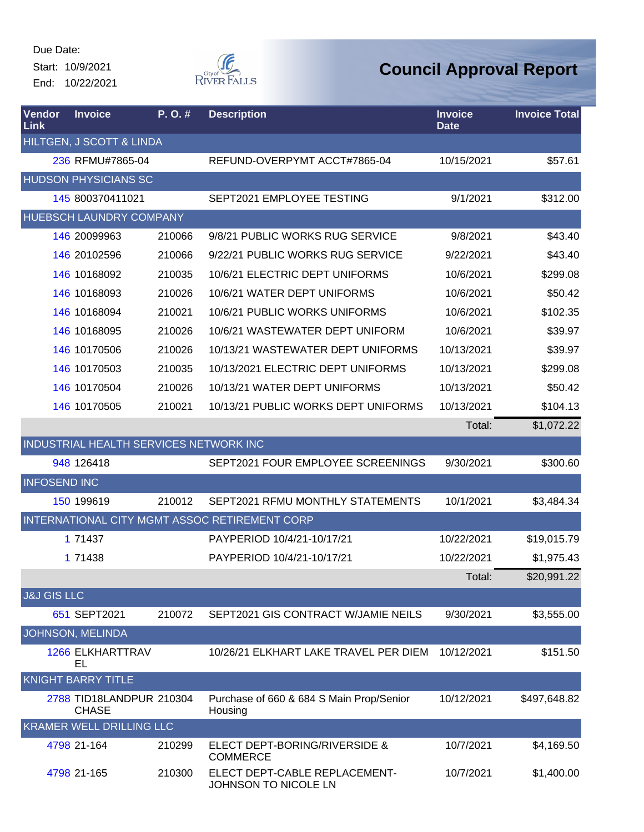Start: 10/9/2021 End: 10/22/2021



| Vendor<br>Link         | <b>Invoice</b>                           | P.O.#  | <b>Description</b>                                    | <b>Invoice</b><br><b>Date</b> | <b>Invoice Total</b> |
|------------------------|------------------------------------------|--------|-------------------------------------------------------|-------------------------------|----------------------|
|                        | HILTGEN, J SCOTT & LINDA                 |        |                                                       |                               |                      |
|                        | 236 RFMU#7865-04                         |        | REFUND-OVERPYMT ACCT#7865-04                          | 10/15/2021                    | \$57.61              |
|                        | <b>HUDSON PHYSICIANS SC</b>              |        |                                                       |                               |                      |
|                        | 145 800370411021                         |        | SEPT2021 EMPLOYEE TESTING                             | 9/1/2021                      | \$312.00             |
|                        | HUEBSCH LAUNDRY COMPANY                  |        |                                                       |                               |                      |
|                        | 146 20099963                             | 210066 | 9/8/21 PUBLIC WORKS RUG SERVICE                       | 9/8/2021                      | \$43.40              |
|                        | 146 20102596                             | 210066 | 9/22/21 PUBLIC WORKS RUG SERVICE                      | 9/22/2021                     | \$43.40              |
|                        | 146 10168092                             | 210035 | 10/6/21 ELECTRIC DEPT UNIFORMS                        | 10/6/2021                     | \$299.08             |
|                        | 146 10168093                             | 210026 | 10/6/21 WATER DEPT UNIFORMS                           | 10/6/2021                     | \$50.42              |
|                        | 146 10168094                             | 210021 | 10/6/21 PUBLIC WORKS UNIFORMS                         | 10/6/2021                     | \$102.35             |
|                        | 146 10168095                             | 210026 | 10/6/21 WASTEWATER DEPT UNIFORM                       | 10/6/2021                     | \$39.97              |
|                        | 146 10170506                             | 210026 | 10/13/21 WASTEWATER DEPT UNIFORMS                     | 10/13/2021                    | \$39.97              |
|                        | 146 10170503                             | 210035 | 10/13/2021 ELECTRIC DEPT UNIFORMS                     | 10/13/2021                    | \$299.08             |
|                        | 146 10170504                             | 210026 | 10/13/21 WATER DEPT UNIFORMS                          | 10/13/2021                    | \$50.42              |
|                        | 146 10170505                             | 210021 | 10/13/21 PUBLIC WORKS DEPT UNIFORMS                   | 10/13/2021                    | \$104.13             |
|                        |                                          |        |                                                       | Total:                        | \$1,072.22           |
|                        | INDUSTRIAL HEALTH SERVICES NETWORK INC   |        |                                                       |                               |                      |
|                        | 948 126418                               |        | SEPT2021 FOUR EMPLOYEE SCREENINGS                     | 9/30/2021                     | \$300.60             |
| <b>INFOSEND INC</b>    |                                          |        |                                                       |                               |                      |
|                        | 150 199619                               | 210012 | SEPT2021 RFMU MONTHLY STATEMENTS                      | 10/1/2021                     | \$3,484.34           |
|                        |                                          |        | INTERNATIONAL CITY MGMT ASSOC RETIREMENT CORP         |                               |                      |
|                        | 1 71437                                  |        | PAYPERIOD 10/4/21-10/17/21                            | 10/22/2021                    | \$19,015.79          |
|                        | 1 71438                                  |        | PAYPERIOD 10/4/21-10/17/21                            | 10/22/2021                    | \$1,975.43           |
|                        |                                          |        |                                                       | Total:                        | \$20,991.22          |
| <b>J&amp;J GIS LLC</b> |                                          |        |                                                       |                               |                      |
|                        | 651 SEPT2021                             | 210072 | SEPT2021 GIS CONTRACT W/JAMIE NEILS                   | 9/30/2021                     | \$3,555.00           |
|                        | JOHNSON, MELINDA                         |        |                                                       |                               |                      |
|                        | <b>1266 ELKHARTTRAV</b><br>EL            |        | 10/26/21 ELKHART LAKE TRAVEL PER DIEM                 | 10/12/2021                    | \$151.50             |
|                        | <b>KNIGHT BARRY TITLE</b>                |        |                                                       |                               |                      |
|                        | 2788 TID18LANDPUR 210304<br><b>CHASE</b> |        | Purchase of 660 & 684 S Main Prop/Senior<br>Housing   | 10/12/2021                    | \$497,648.82         |
|                        | <b>KRAMER WELL DRILLING LLC</b>          |        |                                                       |                               |                      |
|                        | 4798 21-164                              | 210299 | ELECT DEPT-BORING/RIVERSIDE &<br><b>COMMERCE</b>      | 10/7/2021                     | \$4,169.50           |
|                        | 4798 21-165                              | 210300 | ELECT DEPT-CABLE REPLACEMENT-<br>JOHNSON TO NICOLE LN | 10/7/2021                     | \$1,400.00           |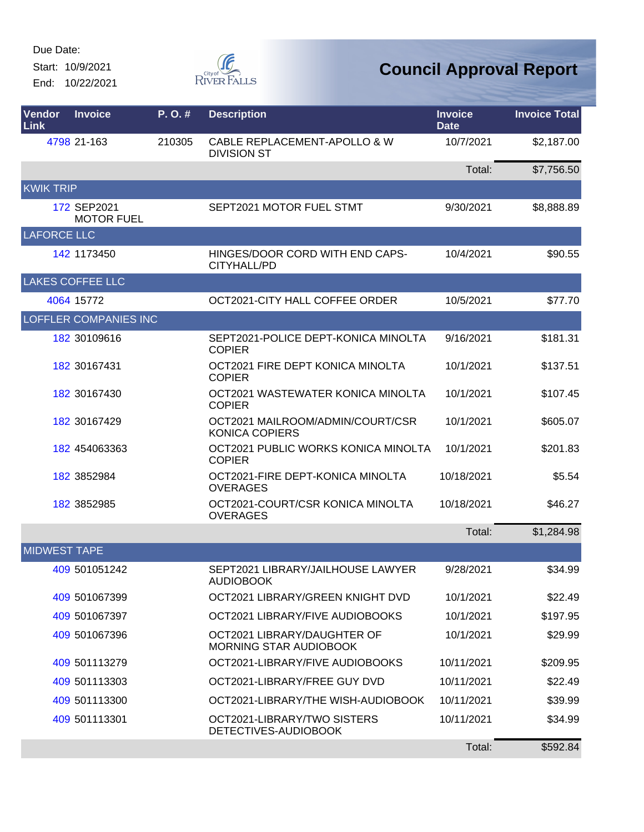Start: 10/9/2021 End: 10/22/2021



| Vendor<br>Link      | <b>Invoice</b>                   | P. O. # | <b>Description</b>                                        | <b>Invoice</b><br><b>Date</b> | <b>Invoice Total</b> |
|---------------------|----------------------------------|---------|-----------------------------------------------------------|-------------------------------|----------------------|
|                     | 4798 21-163                      | 210305  | CABLE REPLACEMENT-APOLLO & W<br><b>DIVISION ST</b>        | 10/7/2021                     | \$2,187.00           |
|                     |                                  |         |                                                           | Total:                        | \$7,756.50           |
| <b>KWIK TRIP</b>    |                                  |         |                                                           |                               |                      |
|                     | 172 SEP2021<br><b>MOTOR FUEL</b> |         | SEPT2021 MOTOR FUEL STMT                                  | 9/30/2021                     | \$8,888.89           |
| LAFORCE LLC         |                                  |         |                                                           |                               |                      |
|                     | 142 1173450                      |         | HINGES/DOOR CORD WITH END CAPS-<br>CITYHALL/PD            | 10/4/2021                     | \$90.55              |
|                     | <b>LAKES COFFEE LLC</b>          |         |                                                           |                               |                      |
|                     | 4064 15772                       |         | OCT2021-CITY HALL COFFEE ORDER                            | 10/5/2021                     | \$77.70              |
|                     | <b>LOFFLER COMPANIES INC</b>     |         |                                                           |                               |                      |
|                     | 182 30109616                     |         | SEPT2021-POLICE DEPT-KONICA MINOLTA<br><b>COPIER</b>      | 9/16/2021                     | \$181.31             |
|                     | 182 30167431                     |         | OCT2021 FIRE DEPT KONICA MINOLTA<br><b>COPIER</b>         | 10/1/2021                     | \$137.51             |
|                     | 182 30167430                     |         | OCT2021 WASTEWATER KONICA MINOLTA<br><b>COPIER</b>        | 10/1/2021                     | \$107.45             |
|                     | 182 30167429                     |         | OCT2021 MAILROOM/ADMIN/COURT/CSR<br><b>KONICA COPIERS</b> | 10/1/2021                     | \$605.07             |
|                     | 182 454063363                    |         | OCT2021 PUBLIC WORKS KONICA MINOLTA<br><b>COPIER</b>      | 10/1/2021                     | \$201.83             |
|                     | 182 3852984                      |         | OCT2021-FIRE DEPT-KONICA MINOLTA<br><b>OVERAGES</b>       | 10/18/2021                    | \$5.54               |
|                     | 182 3852985                      |         | OCT2021-COURT/CSR KONICA MINOLTA<br><b>OVERAGES</b>       | 10/18/2021                    | \$46.27              |
|                     |                                  |         |                                                           | Total:                        | \$1,284.98           |
| <b>MIDWEST TAPE</b> |                                  |         |                                                           |                               |                      |
|                     | 409 501051242                    |         | SEPT2021 LIBRARY/JAILHOUSE LAWYER<br><b>AUDIOBOOK</b>     | 9/28/2021                     | \$34.99              |
|                     | 409 501067399                    |         | OCT2021 LIBRARY/GREEN KNIGHT DVD                          | 10/1/2021                     | \$22.49              |
|                     | 409 501067397                    |         | OCT2021 LIBRARY/FIVE AUDIOBOOKS                           | 10/1/2021                     | \$197.95             |
|                     | 409 501067396                    |         | OCT2021 LIBRARY/DAUGHTER OF<br>MORNING STAR AUDIOBOOK     | 10/1/2021                     | \$29.99              |
|                     | 409 501113279                    |         | OCT2021-LIBRARY/FIVE AUDIOBOOKS                           | 10/11/2021                    | \$209.95             |
|                     | 409 501113303                    |         | OCT2021-LIBRARY/FREE GUY DVD                              | 10/11/2021                    | \$22.49              |
|                     | 409 501113300                    |         | OCT2021-LIBRARY/THE WISH-AUDIOBOOK                        | 10/11/2021                    | \$39.99              |
|                     | 409 501113301                    |         | OCT2021-LIBRARY/TWO SISTERS<br>DETECTIVES-AUDIOBOOK       | 10/11/2021                    | \$34.99              |
|                     |                                  |         |                                                           | Total:                        | \$592.84             |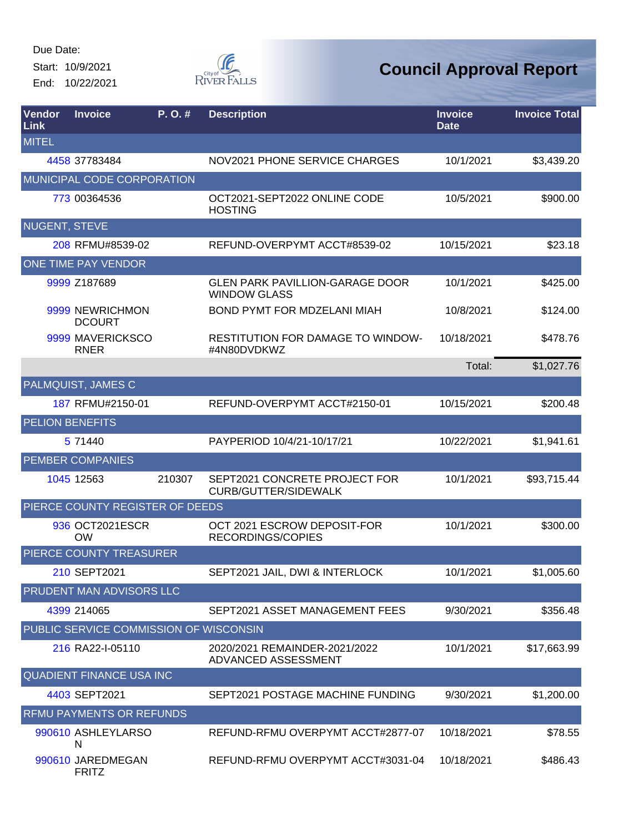Start: 10/9/2021 End: 10/22/2021



| Vendor<br>Link       | <b>Invoice</b>                         | P.O.#  | <b>Description</b>                                            | <b>Invoice</b><br><b>Date</b> | <b>Invoice Total</b> |
|----------------------|----------------------------------------|--------|---------------------------------------------------------------|-------------------------------|----------------------|
| <b>MITEL</b>         |                                        |        |                                                               |                               |                      |
|                      | 4458 37783484                          |        | NOV2021 PHONE SERVICE CHARGES                                 | 10/1/2021                     | \$3,439.20           |
|                      | MUNICIPAL CODE CORPORATION             |        |                                                               |                               |                      |
|                      | 773 00364536                           |        | OCT2021-SEPT2022 ONLINE CODE<br><b>HOSTING</b>                | 10/5/2021                     | \$900.00             |
| <b>NUGENT, STEVE</b> |                                        |        |                                                               |                               |                      |
|                      | 208 RFMU#8539-02                       |        | REFUND-OVERPYMT ACCT#8539-02                                  | 10/15/2021                    | \$23.18              |
|                      | ONE TIME PAY VENDOR                    |        |                                                               |                               |                      |
|                      | 9999 Z187689                           |        | <b>GLEN PARK PAVILLION-GARAGE DOOR</b><br><b>WINDOW GLASS</b> | 10/1/2021                     | \$425.00             |
|                      | 9999 NEWRICHMON<br><b>DCOURT</b>       |        | BOND PYMT FOR MDZELANI MIAH                                   | 10/8/2021                     | \$124.00             |
|                      | 9999 MAVERICKSCO<br><b>RNER</b>        |        | <b>RESTITUTION FOR DAMAGE TO WINDOW-</b><br>#4N80DVDKWZ       | 10/18/2021                    | \$478.76             |
|                      |                                        |        |                                                               | Total:                        | \$1,027.76           |
|                      | PALMQUIST, JAMES C                     |        |                                                               |                               |                      |
|                      | 187 RFMU#2150-01                       |        | REFUND-OVERPYMT ACCT#2150-01                                  | 10/15/2021                    | \$200.48             |
|                      | <b>PELION BENEFITS</b>                 |        |                                                               |                               |                      |
|                      | 5 71440                                |        | PAYPERIOD 10/4/21-10/17/21                                    | 10/22/2021                    | \$1,941.61           |
|                      | <b>PEMBER COMPANIES</b>                |        |                                                               |                               |                      |
|                      | 1045 12563                             | 210307 | SEPT2021 CONCRETE PROJECT FOR<br>CURB/GUTTER/SIDEWALK         | 10/1/2021                     | \$93,715.44          |
|                      | PIERCE COUNTY REGISTER OF DEEDS        |        |                                                               |                               |                      |
|                      | 936 OCT2021ESCR<br><b>OW</b>           |        | OCT 2021 ESCROW DEPOSIT-FOR<br><b>RECORDINGS/COPIES</b>       | 10/1/2021                     | \$300.00             |
|                      | PIERCE COUNTY TREASURER                |        |                                                               |                               |                      |
|                      | 210 SEPT2021                           |        | SEPT2021 JAIL, DWI & INTERLOCK                                | 10/1/2021                     | \$1,005.60           |
|                      | <b>PRUDENT MAN ADVISORS LLC</b>        |        |                                                               |                               |                      |
|                      | 4399 214065                            |        | SEPT2021 ASSET MANAGEMENT FEES                                | 9/30/2021                     | \$356.48             |
|                      | PUBLIC SERVICE COMMISSION OF WISCONSIN |        |                                                               |                               |                      |
|                      | 216 RA22-I-05110                       |        | 2020/2021 REMAINDER-2021/2022<br>ADVANCED ASSESSMENT          | 10/1/2021                     | \$17,663.99          |
|                      | <b>QUADIENT FINANCE USA INC</b>        |        |                                                               |                               |                      |
|                      | 4403 SEPT2021                          |        | SEPT2021 POSTAGE MACHINE FUNDING                              | 9/30/2021                     | \$1,200.00           |
|                      | <b>RFMU PAYMENTS OR REFUNDS</b>        |        |                                                               |                               |                      |
|                      | 990610 ASHLEYLARSO<br>N                |        | REFUND-RFMU OVERPYMT ACCT#2877-07                             | 10/18/2021                    | \$78.55              |
|                      | 990610 JAREDMEGAN<br><b>FRITZ</b>      |        | REFUND-RFMU OVERPYMT ACCT#3031-04                             | 10/18/2021                    | \$486.43             |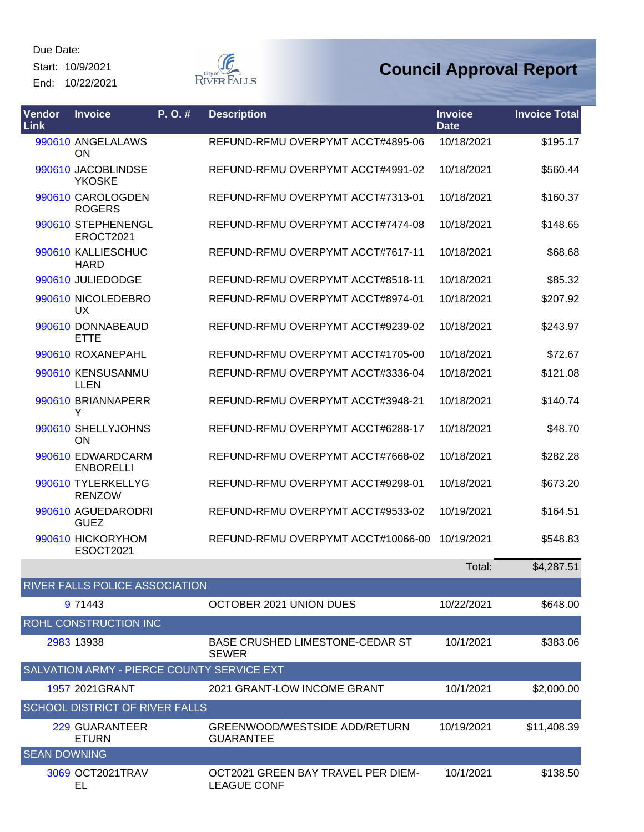Start: 10/9/2021 End: 10/22/2021



| Vendor<br><b>Link</b> | <b>Invoice</b>                             | P. O. # | <b>Description</b>                                       | <b>Invoice</b><br><b>Date</b> | <b>Invoice Total</b> |
|-----------------------|--------------------------------------------|---------|----------------------------------------------------------|-------------------------------|----------------------|
|                       | 990610 ANGELALAWS<br>ON                    |         | REFUND-RFMU OVERPYMT ACCT#4895-06                        | 10/18/2021                    | \$195.17             |
|                       | 990610 JACOBLINDSE<br><b>YKOSKE</b>        |         | REFUND-RFMU OVERPYMT ACCT#4991-02                        | 10/18/2021                    | \$560.44             |
|                       | 990610 CAROLOGDEN<br><b>ROGERS</b>         |         | REFUND-RFMU OVERPYMT ACCT#7313-01                        | 10/18/2021                    | \$160.37             |
|                       | 990610 STEPHENENGL<br>EROCT2021            |         | REFUND-RFMU OVERPYMT ACCT#7474-08                        | 10/18/2021                    | \$148.65             |
|                       | 990610 KALLIESCHUC<br><b>HARD</b>          |         | REFUND-RFMU OVERPYMT ACCT#7617-11                        | 10/18/2021                    | \$68.68              |
|                       | 990610 JULIEDODGE                          |         | REFUND-RFMU OVERPYMT ACCT#8518-11                        | 10/18/2021                    | \$85.32              |
|                       | 990610 NICOLEDEBRO<br><b>UX</b>            |         | REFUND-RFMU OVERPYMT ACCT#8974-01                        | 10/18/2021                    | \$207.92             |
|                       | 990610 DONNABEAUD<br><b>ETTE</b>           |         | REFUND-RFMU OVERPYMT ACCT#9239-02                        | 10/18/2021                    | \$243.97             |
|                       | 990610 ROXANEPAHL                          |         | REFUND-RFMU OVERPYMT ACCT#1705-00                        | 10/18/2021                    | \$72.67              |
|                       | 990610 KENSUSANMU<br><b>LLEN</b>           |         | REFUND-RFMU OVERPYMT ACCT#3336-04                        | 10/18/2021                    | \$121.08             |
|                       | 990610 BRIANNAPERR<br>Y                    |         | REFUND-RFMU OVERPYMT ACCT#3948-21                        | 10/18/2021                    | \$140.74             |
|                       | 990610 SHELLYJOHNS<br>ON                   |         | REFUND-RFMU OVERPYMT ACCT#6288-17                        | 10/18/2021                    | \$48.70              |
|                       | 990610 EDWARDCARM<br><b>ENBORELLI</b>      |         | REFUND-RFMU OVERPYMT ACCT#7668-02                        | 10/18/2021                    | \$282.28             |
|                       | 990610 TYLERKELLYG<br><b>RENZOW</b>        |         | REFUND-RFMU OVERPYMT ACCT#9298-01                        | 10/18/2021                    | \$673.20             |
|                       | 990610 AGUEDARODRI<br><b>GUEZ</b>          |         | REFUND-RFMU OVERPYMT ACCT#9533-02                        | 10/19/2021                    | \$164.51             |
|                       | 990610 HICKORYHOM<br><b>ESOCT2021</b>      |         | REFUND-RFMU OVERPYMT ACCT#10066-00                       | 10/19/2021                    | \$548.83             |
|                       |                                            |         |                                                          | Total:                        | \$4,287.51           |
|                       | RIVER FALLS POLICE ASSOCIATION             |         |                                                          |                               |                      |
|                       | 9 71443                                    |         | OCTOBER 2021 UNION DUES                                  | 10/22/2021                    | \$648.00             |
|                       | ROHL CONSTRUCTION INC                      |         |                                                          |                               |                      |
|                       | 2983 13938                                 |         | <b>BASE CRUSHED LIMESTONE-CEDAR ST</b><br><b>SEWER</b>   | 10/1/2021                     | \$383.06             |
|                       | SALVATION ARMY - PIERCE COUNTY SERVICE EXT |         |                                                          |                               |                      |
|                       | 1957 2021 GRANT                            |         | 2021 GRANT-LOW INCOME GRANT                              | 10/1/2021                     | \$2,000.00           |
|                       | <b>SCHOOL DISTRICT OF RIVER FALLS</b>      |         |                                                          |                               |                      |
|                       | 229 GUARANTEER<br><b>ETURN</b>             |         | GREENWOOD/WESTSIDE ADD/RETURN<br><b>GUARANTEE</b>        | 10/19/2021                    | \$11,408.39          |
| <b>SEAN DOWNING</b>   |                                            |         |                                                          |                               |                      |
|                       | 3069 OCT2021TRAV<br>EL                     |         | OCT2021 GREEN BAY TRAVEL PER DIEM-<br><b>LEAGUE CONF</b> | 10/1/2021                     | \$138.50             |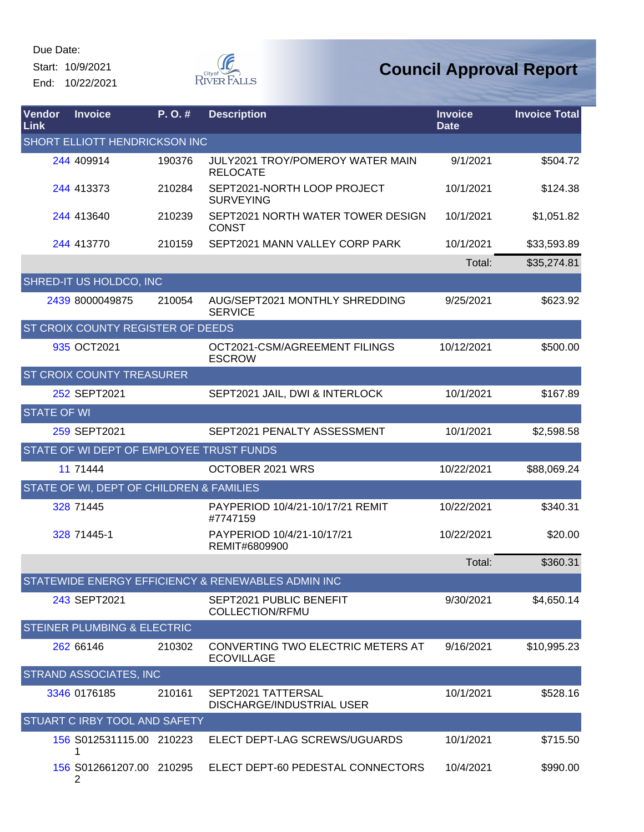Start: 10/9/2021 End: 10/22/2021



| Vendor<br><b>Link</b> | <b>Invoice</b>                           | P. O. # | <b>Description</b>                                     | <b>Invoice</b><br><b>Date</b> | <b>Invoice Total</b> |
|-----------------------|------------------------------------------|---------|--------------------------------------------------------|-------------------------------|----------------------|
|                       | SHORT ELLIOTT HENDRICKSON INC            |         |                                                        |                               |                      |
|                       | 244 409914                               | 190376  | JULY2021 TROY/POMEROY WATER MAIN<br><b>RELOCATE</b>    | 9/1/2021                      | \$504.72             |
|                       | 244 413373                               | 210284  | SEPT2021-NORTH LOOP PROJECT<br><b>SURVEYING</b>        | 10/1/2021                     | \$124.38             |
|                       | 244 413640                               | 210239  | SEPT2021 NORTH WATER TOWER DESIGN<br><b>CONST</b>      | 10/1/2021                     | \$1,051.82           |
|                       | 244 413770                               | 210159  | SEPT2021 MANN VALLEY CORP PARK                         | 10/1/2021                     | \$33,593.89          |
|                       |                                          |         |                                                        | Total:                        | \$35,274.81          |
|                       | SHRED-IT US HOLDCO, INC                  |         |                                                        |                               |                      |
|                       | 2439 8000049875                          | 210054  | AUG/SEPT2021 MONTHLY SHREDDING<br><b>SERVICE</b>       | 9/25/2021                     | \$623.92             |
|                       | ST CROIX COUNTY REGISTER OF DEEDS        |         |                                                        |                               |                      |
|                       | 935 OCT2021                              |         | OCT2021-CSM/AGREEMENT FILINGS<br><b>ESCROW</b>         | 10/12/2021                    | \$500.00             |
|                       | <b>ST CROIX COUNTY TREASURER</b>         |         |                                                        |                               |                      |
|                       | 252 SEPT2021                             |         | SEPT2021 JAIL, DWI & INTERLOCK                         | 10/1/2021                     | \$167.89             |
| <b>STATE OF WI</b>    |                                          |         |                                                        |                               |                      |
|                       | 259 SEPT2021                             |         | SEPT2021 PENALTY ASSESSMENT                            | 10/1/2021                     | \$2,598.58           |
|                       | STATE OF WI DEPT OF EMPLOYEE TRUST FUNDS |         |                                                        |                               |                      |
|                       | 11 71444                                 |         | OCTOBER 2021 WRS                                       | 10/22/2021                    | \$88,069.24          |
|                       | STATE OF WI, DEPT OF CHILDREN & FAMILIES |         |                                                        |                               |                      |
|                       | 328 71445                                |         | PAYPERIOD 10/4/21-10/17/21 REMIT<br>#7747159           | 10/22/2021                    | \$340.31             |
|                       | 328 71445-1                              |         | PAYPERIOD 10/4/21-10/17/21<br>REMIT#6809900            | 10/22/2021                    | \$20.00              |
|                       |                                          |         |                                                        | Total:                        | \$360.31             |
|                       |                                          |         | STATEWIDE ENERGY EFFICIENCY & RENEWABLES ADMIN INC     |                               |                      |
|                       | 243 SEPT2021                             |         | SEPT2021 PUBLIC BENEFIT<br><b>COLLECTION/RFMU</b>      | 9/30/2021                     | \$4,650.14           |
|                       | <b>STEINER PLUMBING &amp; ELECTRIC</b>   |         |                                                        |                               |                      |
|                       | 262 66146                                | 210302  | CONVERTING TWO ELECTRIC METERS AT<br><b>ECOVILLAGE</b> | 9/16/2021                     | \$10,995.23          |
|                       | <b>STRAND ASSOCIATES, INC</b>            |         |                                                        |                               |                      |
|                       | 3346 0176185                             | 210161  | SEPT2021 TATTERSAL<br>DISCHARGE/INDUSTRIAL USER        | 10/1/2021                     | \$528.16             |
|                       | STUART C IRBY TOOL AND SAFETY            |         |                                                        |                               |                      |
|                       | 156 S012531115.00 210223<br>1            |         | ELECT DEPT-LAG SCREWS/UGUARDS                          | 10/1/2021                     | \$715.50             |
|                       | 156 S012661207.00 210295<br>2            |         | ELECT DEPT-60 PEDESTAL CONNECTORS                      | 10/4/2021                     | \$990.00             |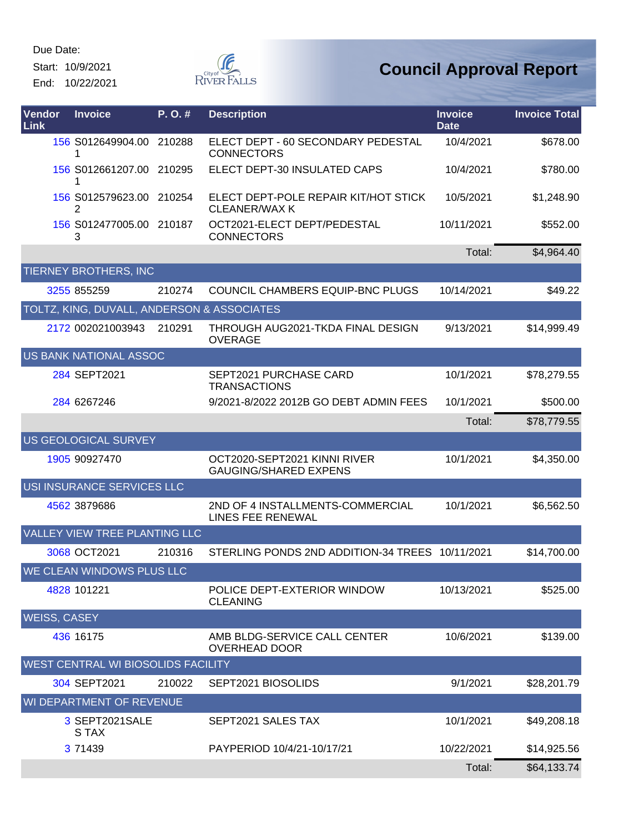Start: 10/9/2021

End: 10/22/2021



| Vendor<br><b>Link</b> | <b>Invoice</b>                             | P.O.#  | <b>Description</b>                                           | <b>Invoice</b><br><b>Date</b> | <b>Invoice Total</b> |
|-----------------------|--------------------------------------------|--------|--------------------------------------------------------------|-------------------------------|----------------------|
|                       | 156 S012649904.00 210288<br>1              |        | ELECT DEPT - 60 SECONDARY PEDESTAL<br><b>CONNECTORS</b>      | 10/4/2021                     | \$678.00             |
|                       | 156 S012661207.00 210295                   |        | ELECT DEPT-30 INSULATED CAPS                                 | 10/4/2021                     | \$780.00             |
|                       | 156 S012579623.00 210254<br>2              |        | ELECT DEPT-POLE REPAIR KIT/HOT STICK<br><b>CLEANER/WAX K</b> | 10/5/2021                     | \$1,248.90           |
|                       | 156 S012477005.00 210187<br>3              |        | OCT2021-ELECT DEPT/PEDESTAL<br><b>CONNECTORS</b>             | 10/11/2021                    | \$552.00             |
|                       |                                            |        |                                                              | Total:                        | \$4,964.40           |
|                       | <b>TIERNEY BROTHERS, INC</b>               |        |                                                              |                               |                      |
|                       | 3255 855259                                | 210274 | COUNCIL CHAMBERS EQUIP-BNC PLUGS                             | 10/14/2021                    | \$49.22              |
|                       | TOLTZ, KING, DUVALL, ANDERSON & ASSOCIATES |        |                                                              |                               |                      |
|                       | 2172 002021003943                          | 210291 | THROUGH AUG2021-TKDA FINAL DESIGN<br><b>OVERAGE</b>          | 9/13/2021                     | \$14,999.49          |
|                       | US BANK NATIONAL ASSOC                     |        |                                                              |                               |                      |
|                       | 284 SEPT2021                               |        | SEPT2021 PURCHASE CARD<br><b>TRANSACTIONS</b>                | 10/1/2021                     | \$78,279.55          |
|                       | 284 6267246                                |        | 9/2021-8/2022 2012B GO DEBT ADMIN FEES                       | 10/1/2021                     | \$500.00             |
|                       |                                            |        |                                                              | Total:                        | \$78,779.55          |
|                       | US GEOLOGICAL SURVEY                       |        |                                                              |                               |                      |
|                       | 1905 90927470                              |        | OCT2020-SEPT2021 KINNI RIVER<br><b>GAUGING/SHARED EXPENS</b> | 10/1/2021                     | \$4,350.00           |
|                       | USI INSURANCE SERVICES LLC                 |        |                                                              |                               |                      |
|                       | 4562 3879686                               |        | 2ND OF 4 INSTALLMENTS-COMMERCIAL<br>LINES FEE RENEWAL        | 10/1/2021                     | \$6,562.50           |
|                       | VALLEY VIEW TREE PLANTING LLC              |        |                                                              |                               |                      |
|                       | 3068 OCT2021                               | 210316 | STERLING PONDS 2ND ADDITION-34 TREES 10/11/2021              |                               | \$14,700.00          |
|                       | WE CLEAN WINDOWS PLUS LLC                  |        |                                                              |                               |                      |
|                       | 4828 101221                                |        | POLICE DEPT-EXTERIOR WINDOW<br><b>CLEANING</b>               | 10/13/2021                    | \$525.00             |
|                       | <b>WEISS, CASEY</b>                        |        |                                                              |                               |                      |
|                       | 436 16175                                  |        | AMB BLDG-SERVICE CALL CENTER<br><b>OVERHEAD DOOR</b>         | 10/6/2021                     | \$139.00             |
|                       | WEST CENTRAL WI BIOSOLIDS FACILITY         |        |                                                              |                               |                      |
|                       | 304 SEPT2021                               | 210022 | SEPT2021 BIOSOLIDS                                           | 9/1/2021                      | \$28,201.79          |
|                       | WI DEPARTMENT OF REVENUE                   |        |                                                              |                               |                      |
|                       | 3 SEPT2021SALE<br>S TAX                    |        | SEPT2021 SALES TAX                                           | 10/1/2021                     | \$49,208.18          |
|                       | 3 71439                                    |        | PAYPERIOD 10/4/21-10/17/21                                   | 10/22/2021                    | \$14,925.56          |
|                       |                                            |        |                                                              | Total:                        | \$64,133.74          |